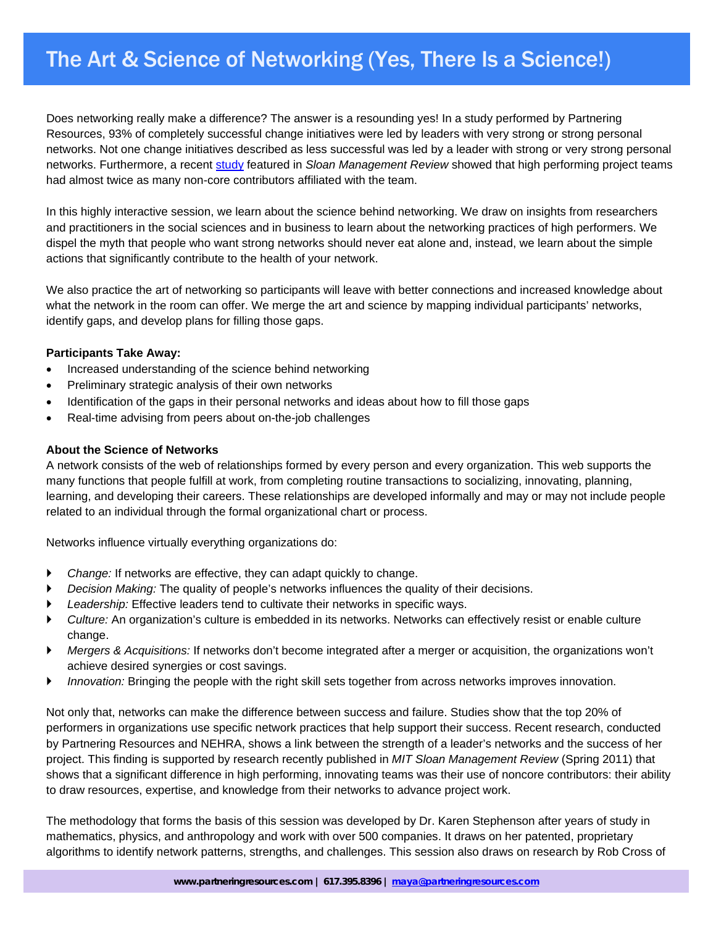# The Art & Science of Networking (Yes, There Is a Science!)

Does networking really make a difference? The answer is a resounding yes! In a study performed by Partnering Resources, 93% of completely successful change initiatives were led by leaders with very strong or strong personal networks. Not one change initiatives described as less successful was led by a leader with strong or very strong personal networks. Furthermore, a recent study featured in *Sloan Management Review* showed that high performing project teams had almost twice as many non-core contributors affiliated with the team.

In this highly interactive session, we learn about the science behind networking. We draw on insights from researchers and practitioners in the social sciences and in business to learn about the networking practices of high performers. We dispel the myth that people who want strong networks should never eat alone and, instead, we learn about the simple actions that significantly contribute to the health of your network.

We also practice the art of networking so participants will leave with better connections and increased knowledge about what the network in the room can offer. We merge the art and science by mapping individual participants' networks, identify gaps, and develop plans for filling those gaps.

## **Participants Take Away:**

- Increased understanding of the science behind networking
- Preliminary strategic analysis of their own networks
- Identification of the gaps in their personal networks and ideas about how to fill those gaps
- Real-time advising from peers about on-the-job challenges

## **About the Science of Networks**

A network consists of the web of relationships formed by every person and every organization. This web supports the many functions that people fulfill at work, from completing routine transactions to socializing, innovating, planning, learning, and developing their careers. These relationships are developed informally and may or may not include people related to an individual through the formal organizational chart or process.

Networks influence virtually everything organizations do:

- ` *Change:* If networks are effective, they can adapt quickly to change.
- ` *Decision Making:* The quality of people's networks influences the quality of their decisions.
- ` *Leadership:* Effective leaders tend to cultivate their networks in specific ways.
- ` *Culture:* An organization's culture is embedded in its networks. Networks can effectively resist or enable culture change.
- ` *Mergers & Acquisitions:* If networks don't become integrated after a merger or acquisition, the organizations won't achieve desired synergies or cost savings.
- ` *Innovation:* Bringing the people with the right skill sets together from across networks improves innovation.

Not only that, networks can make the difference between success and failure. Studies show that the top 20% of performers in organizations use specific network practices that help support their success. Recent research, conducted by Partnering Resources and NEHRA, shows a link between the strength of a leader's networks and the success of her project. This finding is supported by research recently published in *MIT Sloan Management Review* (Spring 2011) that shows that a significant difference in high performing, innovating teams was their use of noncore contributors: their ability to draw resources, expertise, and knowledge from their networks to advance project work.

The methodology that forms the basis of this session was developed by Dr. Karen Stephenson after years of study in mathematics, physics, and anthropology and work with over 500 companies. It draws on her patented, proprietary algorithms to identify network patterns, strengths, and challenges. This session also draws on research by Rob Cross of